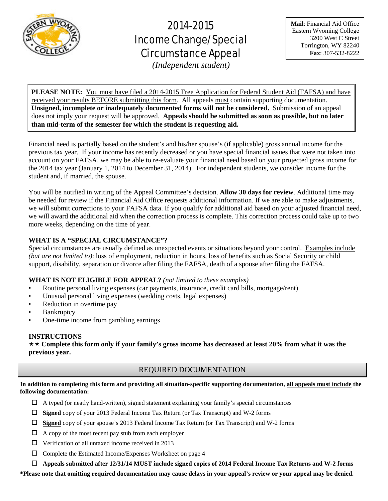

# 2014-2015 Income Change/Special Circumstance Appeal

**Mail**: Financial Aid Office Eastern Wyoming College 3200 West C Street Torrington, WY 82240 **Fax**: 307-532-8222

*(Independent student)*

**PLEASE NOTE:** You must have filed a 2014-2015 Free Application for Federal Student Aid (FAFSA) and have received your results BEFORE submitting this form. All appeals must contain supporting documentation. **Unsigned, incomplete or inadequately documented forms will not be considered.** Submission of an appeal does not imply your request will be approved. **Appeals should be submitted as soon as possible, but no later than mid-term of the semester for which the student is requesting aid.**

Financial need is partially based on the student's and his/her spouse's (if applicable) gross annual income for the previous tax year. If your income has recently decreased or you have special financial issues that were not taken into account on your FAFSA, we may be able to re-evaluate your financial need based on your projected gross income for the 2014 tax year (January 1, 2014 to December 31, 2014). For independent students, we consider income for the student and, if married, the spouse.

You will be notified in writing of the Appeal Committee's decision. **Allow 30 days for review**. Additional time may be needed for review if the Financial Aid Office requests additional information. If we are able to make adjustments, we will submit corrections to your FAFSA data. If you qualify for additional aid based on your adjusted financial need, we will award the additional aid when the correction process is complete. This correction process could take up to two more weeks, depending on the time of year.

# **WHAT IS A "SPECIAL CIRCUMSTANCE"?**

Special circumstances are usually defined as unexpected events or situations beyond your control. Examples include *(but are not limited to)*: loss of employment, reduction in hours, loss of benefits such as Social Security or child support, disability, separation or divorce after filing the FAFSA, death of a spouse after filing the FAFSA.

# **WHAT IS NOT ELIGIBLE FOR APPEAL?** *(not limited to these examples)*

- Routine personal living expenses (car payments, insurance, credit card bills, mortgage/rent)
- Unusual personal living expenses (wedding costs, legal expenses)
- Reduction in overtime pay
- **Bankruptcy**
- One-time income from gambling earnings

# **INSTRUCTIONS**

 **Complete this form only if your family's gross income has decreased at least 20% from what it was the previous year.**

# REQUIRED DOCUMENTATION

**In addition to completing this form and providing all situation-specific supporting documentation, all appeals must include the following documentation:**

- $\Box$  A typed (or neatly hand-written), signed statement explaining your family's special circumstances
- **Signed** copy of your 2013 Federal Income Tax Return (or Tax Transcript) and W-2 forms
- **Signed** copy of your spouse's 2013 Federal Income Tax Return (or Tax Transcript) and W-2 forms
- $\Box$  A copy of the most recent pay stub from each employer
- $\Box$  Verification of all untaxed income received in 2013
- $\Box$  Complete the Estimated Income/Expenses Worksheet on page 4
- **Appeals submitted after 12/31/14 MUST include signed copies of 2014 Federal Income Tax Returns and W-2 forms**

**\*Please note that omitting required documentation may cause delays in your appeal's review or your appeal may be denied.**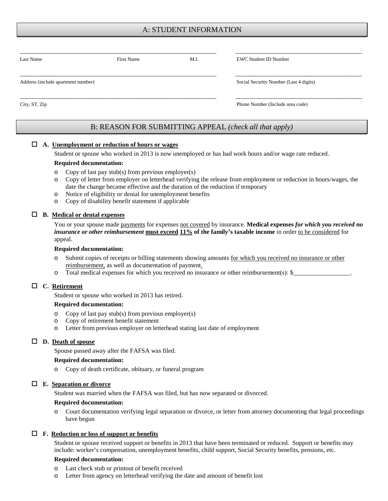# A: STUDENT INFORMATION

| Last Name                          | <b>First Name</b> | M.I. | <b>EWC Student ID Number</b>           |  |
|------------------------------------|-------------------|------|----------------------------------------|--|
| Address (include apartment number) |                   |      | Social Security Number (Last 4 digits) |  |
| City, ST, Zip                      |                   |      | Phone Number (Include area code)       |  |

# B: REASON FOR SUBMITTING APPEAL *(check all that apply)*

#### **A. Unemployment or reduction of hours or wages**

Student or spouse who worked in 2013 is now unemployed or has had work hours and/or wage rate reduced.

#### **Required documentation:**

- o Copy of last pay stub(s) from previous employer(s)
- o Copy of letter from employer on letterhead verifying the release from employment or reduction in hours/wages, the date the change became effective and the duration of the reduction if temporary
- o Notice of eligibility or denial for unemployment benefits
- o Copy of disability benefit statement if applicable

#### **B. Medical or dental expenses**

You or your spouse made **payments** for expenses not covered by insurance. **Medical expenses** *for which you received no insurance or other reimbursement* **must exceed 11% of the family's taxable income** in order to be considered for appeal.

#### **Required documentation:**

- o Submit copies of receipts or billing statements showing amounts for which you received no insurance or other reimbursement, as well as documentation of payment.
- o Total medical expenses for which you received no insurance or other reimbursement(s): \$\_

#### **C. Retirement**

Student or spouse who worked in 2013 has retired.

#### **Required documentation:**

- o Copy of last pay stub(s) from previous employer(s)
- o Copy of retirement benefit statement
- o Letter from previous employer on letterhead stating last date of employment

#### **D. Death of spouse**

Spouse passed away after the FAFSA was filed.

#### **Required documentation:**

o Copy of death certificate, obituary, or funeral program

#### **E. Separation or divorce**

Student was married when the FAFSA was filed, but has now separated or divorced.

#### **Required documentation:**

o Court documentation verifying legal separation or divorce, or letter from attorney documenting that legal proceedings have begun

#### **F. Reduction or loss of support or benefits**

Student or spouse received support or benefits in 2013 that have been terminated or reduced. Support or benefits may include: worker's compensation, unemployment benefits, child support, Social Security benefits, pensions, etc.

#### **Required documentation:**

- o Last check stub or printout of benefit received<br>
o Letter from agency on letterhead verifying the
- Letter from agency on letterhead verifying the date and amount of benefit lost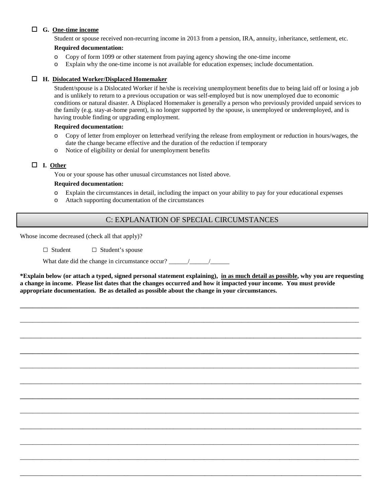## **G. One-time income**

Student or spouse received non-recurring income in 2013 from a pension, IRA, annuity, inheritance, settlement, etc.

## **Required documentation:**

- o Copy of form 1099 or other statement from paying agency showing the one-time income
- o Explain why the one-time income is not available for education expenses; include documentation.

### **H. Dislocated Worker/Displaced Homemaker**

Student/spouse is a Dislocated Worker if he/she is receiving unemployment benefits due to being laid off or losing a job and is unlikely to return to a previous occupation or was self-employed but is now unemployed due to economic conditions or natural disaster. A Displaced Homemaker is generally a person who previously provided unpaid services to the family (e.g. stay-at-home parent), is no longer supported by the spouse, is unemployed or underemployed, and is having trouble finding or upgrading employment.

#### **Required documentation:**

- o Copy of letter from employer on letterhead verifying the release from employment or reduction in hours/wages, the date the change became effective and the duration of the reduction if temporary
- o Notice of eligibility or denial for unemployment benefits

## **I. Other**

You or your spouse has other unusual circumstances not listed above.

## **Required documentation:**

- o Explain the circumstances in detail, including the impact on your ability to pay for your educational expenses
- o Attach supporting documentation of the circumstances

# C: EXPLANATION OF SPECIAL CIRCUMSTANCES

Whose income decreased (check all that apply)?

□ Student □ Student's spouse

What date did the change in circumstance occur? \_\_\_\_\_\_/\_\_\_\_\_\_/\_\_\_\_\_\_

**\*Explain below (or attach a typed, signed personal statement explaining), in as much detail as possible, why you are requesting a change in income. Please list dates that the changes occurred and how it impacted your income. You must provide appropriate documentation. Be as detailed as possible about the change in your circumstances.** 

**\_\_\_\_\_\_\_\_\_\_\_\_\_\_\_\_\_\_\_\_\_\_\_\_\_\_\_\_\_\_\_\_\_\_\_\_\_\_\_\_\_\_\_\_\_\_\_\_\_\_\_\_\_\_\_\_\_\_\_\_\_\_\_\_\_\_\_\_\_\_\_\_\_\_\_\_\_\_\_\_\_\_\_\_\_\_\_\_\_\_\_\_\_\_\_\_\_\_\_\_\_\_\_\_\_\_\_**

\_\_\_\_\_\_\_\_\_\_\_\_\_\_\_\_\_\_\_\_\_\_\_\_\_\_\_\_\_\_\_\_\_\_\_\_\_\_\_\_\_\_\_\_\_\_\_\_\_\_\_\_\_\_\_\_\_\_\_\_\_\_\_\_\_\_\_\_\_\_\_\_\_\_\_\_\_\_\_\_\_\_\_\_\_\_\_\_\_\_\_\_\_\_\_\_\_\_\_\_\_\_\_\_\_\_\_

\_\_\_\_\_\_\_\_\_\_\_\_\_\_\_\_\_\_\_\_\_\_\_\_\_\_\_\_\_\_\_\_\_\_\_\_\_\_\_\_\_\_\_\_\_\_\_\_\_\_\_\_\_\_\_\_\_\_\_\_\_\_\_\_\_\_\_\_\_\_\_\_\_\_\_\_\_\_\_\_\_\_\_\_\_\_\_\_\_\_\_\_\_\_\_\_\_\_

**\_\_\_\_\_\_\_\_\_\_\_\_\_\_\_\_\_\_\_\_\_\_\_\_\_\_\_\_\_\_\_\_\_\_\_\_\_\_\_\_\_\_\_\_\_\_\_\_\_\_\_\_\_\_\_\_\_\_\_\_\_\_\_\_\_\_\_\_\_\_\_\_\_\_\_\_\_\_\_\_\_\_\_\_\_\_\_\_\_\_\_\_\_\_\_\_\_\_\_\_\_\_\_\_\_\_\_**

\_\_\_\_\_\_\_\_\_\_\_\_\_\_\_\_\_\_\_\_\_\_\_\_\_\_\_\_\_\_\_\_\_\_\_\_\_\_\_\_\_\_\_\_\_\_\_\_\_\_\_\_\_\_\_\_\_\_\_\_\_\_\_\_\_\_\_\_\_\_\_\_\_\_\_\_\_\_\_\_\_\_\_\_\_\_\_\_\_\_\_\_\_\_\_\_\_\_\_\_\_\_\_\_\_\_\_

\_\_\_\_\_\_\_\_\_\_\_\_\_\_\_\_\_\_\_\_\_\_\_\_\_\_\_\_\_\_\_\_\_\_\_\_\_\_\_\_\_\_\_\_\_\_\_\_\_\_\_\_\_\_\_\_\_\_\_\_\_\_\_\_\_\_\_\_\_\_\_\_\_\_\_\_\_\_\_\_\_\_\_\_\_\_\_\_\_\_\_\_\_\_\_\_\_\_

**\_\_\_\_\_\_\_\_\_\_\_\_\_\_\_\_\_\_\_\_\_\_\_\_\_\_\_\_\_\_\_\_\_\_\_\_\_\_\_\_\_\_\_\_\_\_\_\_\_\_\_\_\_\_\_\_\_\_\_\_\_\_\_\_\_\_\_\_\_\_\_\_\_\_\_\_\_\_\_\_\_\_\_\_\_\_\_\_\_\_\_\_\_\_\_\_\_\_\_\_\_\_\_\_\_\_\_**

\_\_\_\_\_\_\_\_\_\_\_\_\_\_\_\_\_\_\_\_\_\_\_\_\_\_\_\_\_\_\_\_\_\_\_\_\_\_\_\_\_\_\_\_\_\_\_\_\_\_\_\_\_\_\_\_\_\_\_\_\_\_\_\_\_\_\_\_\_\_\_\_\_\_\_\_\_\_\_\_\_\_\_\_\_\_\_\_\_\_\_\_\_\_\_\_\_\_\_\_\_\_\_\_\_\_\_

\_\_\_\_\_\_\_\_\_\_\_\_\_\_\_\_\_\_\_\_\_\_\_\_\_\_\_\_\_\_\_\_\_\_\_\_\_\_\_\_\_\_\_\_\_\_\_\_\_\_\_\_\_\_\_\_\_\_\_\_\_\_\_\_\_\_\_\_\_\_\_\_\_\_\_\_\_\_\_\_\_\_\_\_\_\_\_\_\_\_\_\_\_\_\_\_\_\_

\_\_\_\_\_\_\_\_\_\_\_\_\_\_\_\_\_\_\_\_\_\_\_\_\_\_\_\_\_\_\_\_\_\_\_\_\_\_\_\_\_\_\_\_\_\_\_\_\_\_\_\_\_\_\_\_\_\_\_\_\_\_\_\_\_\_\_\_\_\_\_\_\_\_\_\_\_\_\_\_\_\_\_\_\_\_\_\_\_\_\_\_\_\_\_\_\_\_\_\_\_\_\_\_\_\_\_

\_\_\_\_\_\_\_\_\_\_\_\_\_\_\_\_\_\_\_\_\_\_\_\_\_\_\_\_\_\_\_\_\_\_\_\_\_\_\_\_\_\_\_\_\_\_\_\_\_\_\_\_\_\_\_\_\_\_\_\_\_\_\_\_\_\_\_\_\_\_\_\_\_\_\_\_\_\_\_\_\_\_\_\_\_\_\_\_\_\_\_\_\_\_\_\_\_\_\_\_\_\_\_\_\_\_\_

\_\_\_\_\_\_\_\_\_\_\_\_\_\_\_\_\_\_\_\_\_\_\_\_\_\_\_\_\_\_\_\_\_\_\_\_\_\_\_\_\_\_\_\_\_\_\_\_\_\_\_\_\_\_\_\_\_\_\_\_\_\_\_\_\_\_\_\_\_\_\_\_\_\_\_\_\_\_\_\_\_\_\_\_\_\_\_\_\_\_\_\_\_\_\_\_\_\_